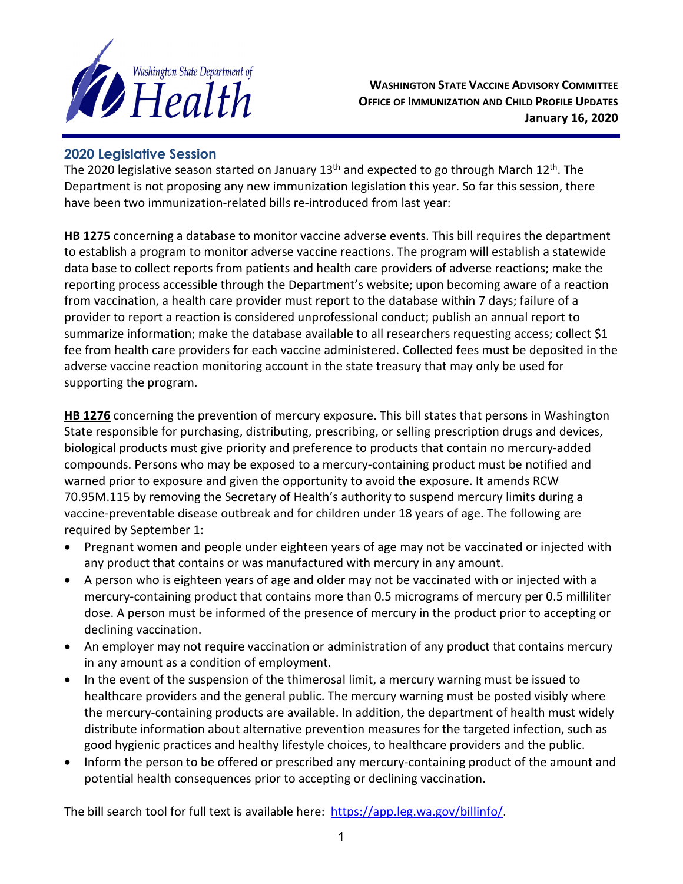

**WASHINGTON STATE VACCINE ADVISORY COMMITTEE OFFICE OF IMMUNIZATION AND CHILD PROFILE UPDATES January 16, 2020**

## **2020 Legislative Session**

The 2020 legislative season started on January  $13<sup>th</sup>$  and expected to go through March  $12<sup>th</sup>$ . The Department is not proposing any new immunization legislation this year. So far this session, there have been two immunization-related bills re-introduced from last year:

**HB 1275** concerning a database to monitor vaccine adverse events. This bill requires the department to establish a program to monitor adverse vaccine reactions. The program will establish a statewide data base to collect reports from patients and health care providers of adverse reactions; make the reporting process accessible through the Department's website; upon becoming aware of a reaction from vaccination, a health care provider must report to the database within 7 days; failure of a provider to report a reaction is considered unprofessional conduct; publish an annual report to summarize information; make the database available to all researchers requesting access; collect \$1 fee from health care providers for each vaccine administered. Collected fees must be deposited in the adverse vaccine reaction monitoring account in the state treasury that may only be used for supporting the program.

**HB 1276** concerning the prevention of mercury exposure. This bill states that persons in Washington State responsible for purchasing, distributing, prescribing, or selling prescription drugs and devices, biological products must give priority and preference to products that contain no mercury-added compounds. Persons who may be exposed to a mercury-containing product must be notified and warned prior to exposure and given the opportunity to avoid the exposure. It amends RCW 70.95M.115 by removing the Secretary of Health's authority to suspend mercury limits during a vaccine-preventable disease outbreak and for children under 18 years of age. The following are required by September 1:

- Pregnant women and people under eighteen years of age may not be vaccinated or injected with any product that contains or was manufactured with mercury in any amount.
- A person who is eighteen years of age and older may not be vaccinated with or injected with a mercury-containing product that contains more than 0.5 micrograms of mercury per 0.5 milliliter dose. A person must be informed of the presence of mercury in the product prior to accepting or declining vaccination.
- An employer may not require vaccination or administration of any product that contains mercury in any amount as a condition of employment.
- In the event of the suspension of the thimerosal limit, a mercury warning must be issued to healthcare providers and the general public. The mercury warning must be posted visibly where the mercury-containing products are available. In addition, the department of health must widely distribute information about alternative prevention measures for the targeted infection, such as good hygienic practices and healthy lifestyle choices, to healthcare providers and the public.
- Inform the person to be offered or prescribed any mercury-containing product of the amount and potential health consequences prior to accepting or declining vaccination.

The bill search tool for full text is available here: [https://app.leg.wa.gov/billinfo/.](https://app.leg.wa.gov/billinfo/)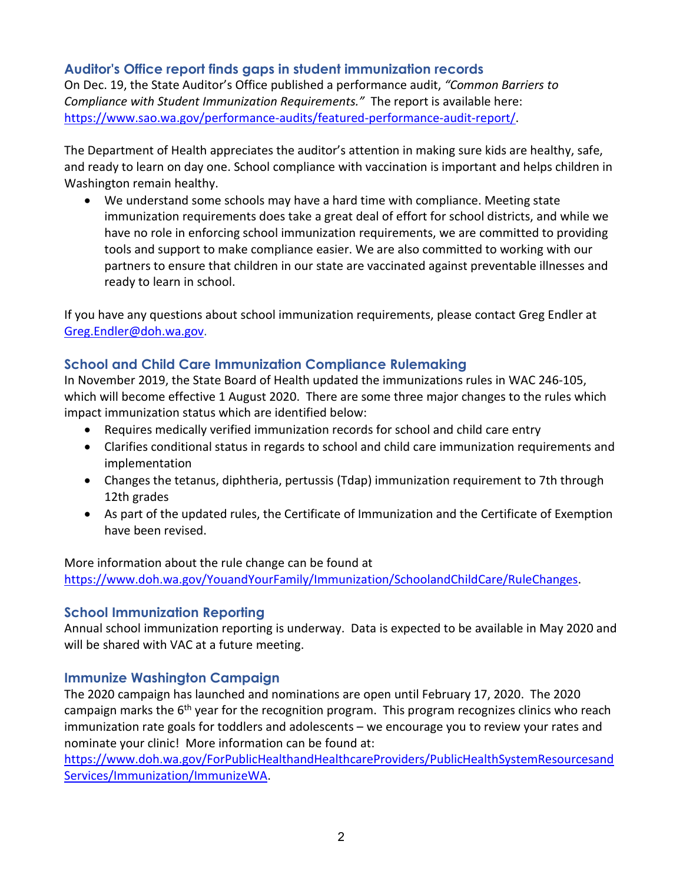## **Auditor's Office report finds gaps in student immunization records**

On Dec. 19, the State Auditor's Office published a performance audit, *"Common Barriers to Compliance with Student Immunization Requirements."* The report is available here: [https://www.sao.wa.gov/performance-audits/featured-performance-audit-report/.](https://www.sao.wa.gov/performance-audits/featured-performance-audit-report/)

The Department of Health appreciates the auditor's attention in making sure kids are healthy, safe, and ready to learn on day one. School compliance with vaccination is important and helps children in Washington remain healthy.

• We understand some schools may have a hard time with compliance. Meeting state immunization requirements does take a great deal of effort for school districts, and while we have no role in enforcing school immunization requirements, we are committed to providing tools and support to make compliance easier. We are also committed to working with our partners to ensure that children in our state are vaccinated against preventable illnesses and ready to learn in school.

If you have any questions about school immunization requirements, please contact Greg Endler at [Greg.Endler@doh.wa.gov.](mailto:Greg.Endler@doh.wa.gov)

## **School and Child Care Immunization Compliance Rulemaking**

In November 2019, the State Board of Health updated the immunizations rules in WAC 246-105, which will become effective 1 August 2020. There are some three major changes to the rules which impact immunization status which are identified below:

- Requires medically verified immunization records for school and child care entry
- Clarifies conditional status in regards to school and child care immunization requirements and implementation
- Changes the tetanus, diphtheria, pertussis (Tdap) immunization requirement to 7th through 12th grades
- As part of the updated rules, the Certificate of Immunization and the Certificate of Exemption have been revised.

More information about the rule change can be found at [https://www.doh.wa.gov/YouandYourFamily/Immunization/SchoolandChildCare/RuleChanges.](https://www.doh.wa.gov/YouandYourFamily/Immunization/SchoolandChildCare/RuleChanges)

# **School Immunization Reporting**

Annual school immunization reporting is underway. Data is expected to be available in May 2020 and will be shared with VAC at a future meeting.

## **Immunize Washington Campaign**

The 2020 campaign has launched and nominations are open until February 17, 2020. The 2020 campaign marks the 6<sup>th</sup> year for the recognition program. This program recognizes clinics who reach immunization rate goals for toddlers and adolescents – we encourage you to review your rates and nominate your clinic! More information can be found at:

[https://www.doh.wa.gov/ForPublicHealthandHealthcareProviders/PublicHealthSystemResourcesand](https://www.doh.wa.gov/ForPublicHealthandHealthcareProviders/PublicHealthSystemResourcesandServices/Immunization/ImmunizeWA) [Services/Immunization/ImmunizeWA.](https://www.doh.wa.gov/ForPublicHealthandHealthcareProviders/PublicHealthSystemResourcesandServices/Immunization/ImmunizeWA)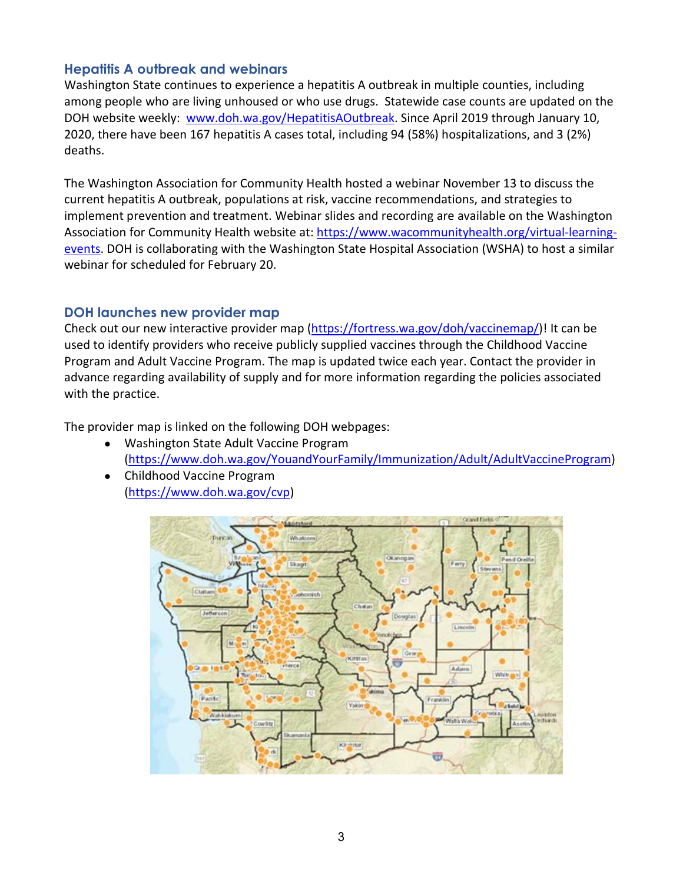### **Hepatitis A outbreak and webinars**

Washington State continues to experience a hepatitis A outbreak in multiple counties, including among people who are living unhoused or who use drugs. Statewide case counts are updated on the DOH website weekly: [www.doh.wa.gov/HepatitisAOutbreak.](http://www.doh.wa.gov/HepatitisAOutbreak) Since April 2019 through January 10, 2020, there have been 167 hepatitis A cases total, including 94 (58%) hospitalizations, and 3 (2%) deaths.

The Washington Association for Community Health hosted a webinar November 13 to discuss the current hepatitis A outbreak, populations at risk, vaccine recommendations, and strategies to implement prevention and treatment. Webinar slides and recording are available on the Washington Association for Community Health website at: [https://www.wacommunityhealth.org/virtual-learning](https://www.wacommunityhealth.org/virtual-learning-events)[events.](https://www.wacommunityhealth.org/virtual-learning-events) DOH is collaborating with the Washington State Hospital Association (WSHA) to host a similar webinar for scheduled for February 20.

### **DOH launches new provider map**

Check out our new interactive provider map [\(https://fortress.wa.gov/doh/vaccinemap/\)](https://fortress.wa.gov/doh/vaccinemap/)! It can be used to identify providers who receive publicly supplied vaccines through the Childhood Vaccine Program and Adult Vaccine Program. The map is updated twice each year. Contact the provider in advance regarding availability of supply and for more information regarding the policies associated with the practice.

The provider map is linked on the following DOH webpages:

- Washington State Adult Vaccine Program [\(https://www.doh.wa.gov/YouandYourFamily/Immunization/Adult/AdultVaccineProgram\)](https://www.doh.wa.gov/YouandYourFamily/Immunization/Adult/AdultVaccineProgram)
- Childhood Vaccine Program [\(https://www.doh.wa.gov/cvp\)](https://www.doh.wa.gov/cvp)

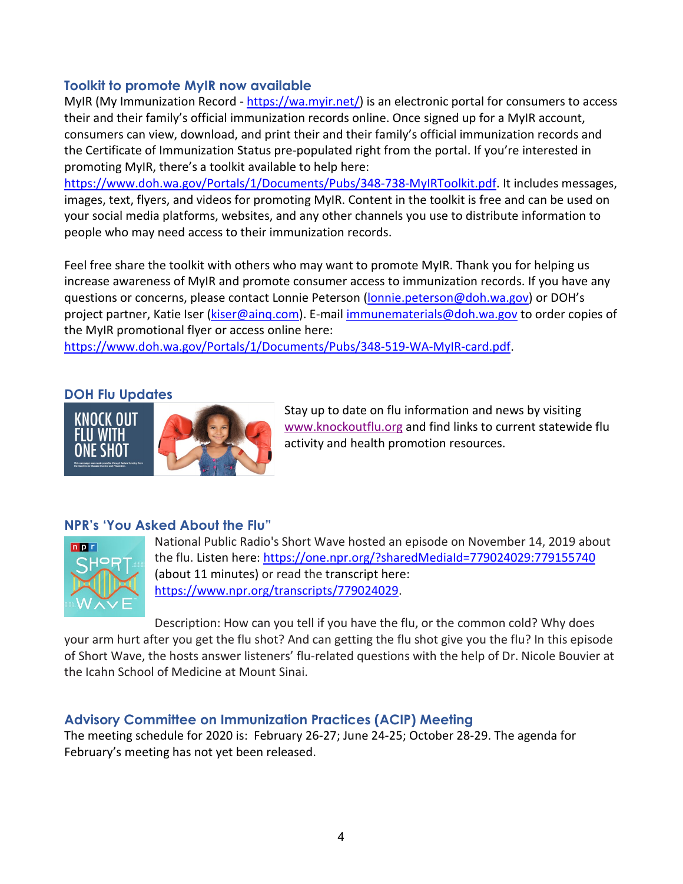### **Toolkit to promote MyIR now available**

MyIR (My Immunization Record - [https://wa.myir.net/\)](https://wa.myir.net/) is an electronic portal for consumers to access their and their family's official immunization records online. Once signed up for a MyIR account, consumers can view, download, and print their and their family's official immunization records and the Certificate of Immunization Status pre-populated right from the portal. If you're interested in promoting MyIR, there's a toolkit available to help here:

[https://www.doh.wa.gov/Portals/1/Documents/Pubs/348-738-MyIRToolkit.pdf.](https://www.doh.wa.gov/Portals/1/Documents/Pubs/348-738-MyIRToolkit.pdf) It includes messages, images, text, flyers, and videos for promoting MyIR. Content in the toolkit is free and can be used on your social media platforms, websites, and any other channels you use to distribute information to people who may need access to their immunization records.

Feel free share the toolkit with others who may want to promote MyIR. Thank you for helping us increase awareness of MyIR and promote consumer access to immunization records. If you have any questions or concerns, please contact Lonnie Peterson [\(lonnie.peterson@doh.wa.gov\)](mailto:lonnie.peterson@doh.wa.gov) or DOH's project partner, Katie Iser [\(kiser@ainq.com\)](mailto:kiser@ainq.com). E-mail [immunematerials@doh.wa.gov](mailto:immunematerials@doh.wa.gov) to order copies of the MyIR promotional flyer or access online here:

[https://www.doh.wa.gov/Portals/1/Documents/Pubs/348-519-WA-MyIR-card.pdf.](https://www.doh.wa.gov/Portals/1/Documents/Pubs/348-519-WA-MyIR-card.pdf)

### **DOH Flu Updates**



Stay up to date on flu information and news by visiting [www.knockoutflu.org](http://www.knockoutflu.org/) and find links to current statewide flu activity and health promotion resources.

## **NPR's 'You Asked About the Flu"**



National Public Radio's Short Wave hosted an episode on November 14, 2019 about the flu. Listen here:<https://one.npr.org/?sharedMediaId=779024029:779155740> (about 11 minutes) or read the transcript here: [https://www.npr.org/transcripts/779024029.](https://www.npr.org/transcripts/779024029)

Description: How can you tell if you have the flu, or the common cold? Why does your arm hurt after you get the flu shot? And can getting the flu shot give you the flu? In this episode of Short Wave, the hosts answer listeners' flu-related questions with the help of Dr. Nicole Bouvier at the Icahn School of Medicine at Mount Sinai.

### **Advisory Committee on Immunization Practices (ACIP) Meeting**

The meeting schedule for 2020 is: February 26-27; June 24-25; October 28-29. The agenda for February's meeting has not yet been released.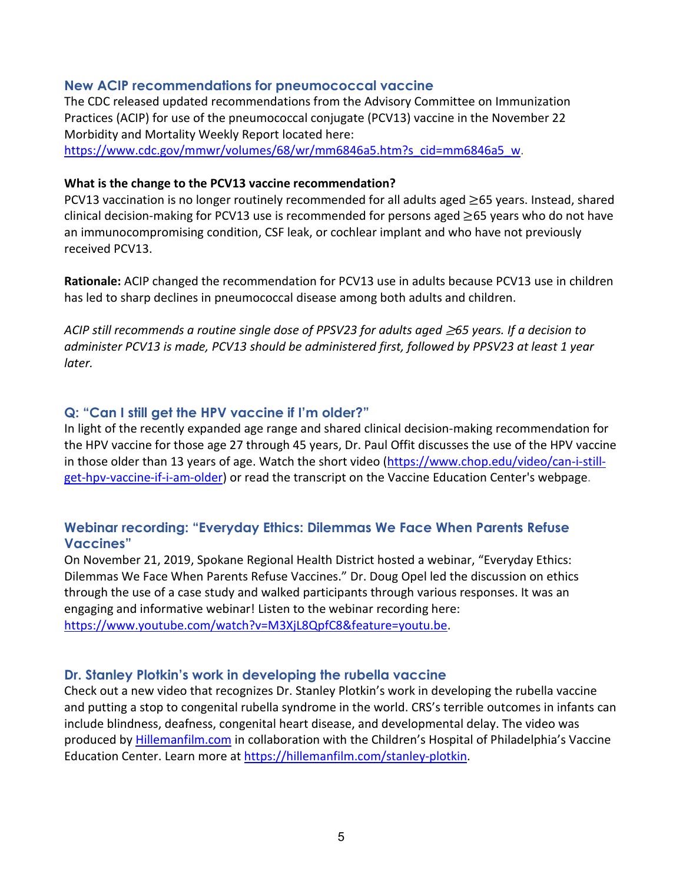#### **New ACIP recommendations for pneumococcal vaccine**

The CDC released updated recommendations from the Advisory Committee on Immunization Practices (ACIP) for use of the pneumococcal conjugate (PCV13) vaccine in the November 22 Morbidity and Mortality Weekly Report located here:

[https://www.cdc.gov/mmwr/volumes/68/wr/mm6846a5.htm?s\\_cid=mm6846a5\\_w.](https://www.cdc.gov/mmwr/volumes/68/wr/mm6846a5.htm?s_cid=mm6846a5_w)

#### **What is the change to the PCV13 vaccine recommendation?**

PCV13 vaccination is no longer routinely recommended for all adults aged ≥65 years. Instead, shared clinical decision-making for PCV13 use is recommended for persons aged  $\geq$ 65 years who do not have an immunocompromising condition, CSF leak, or cochlear implant and who have not previously received PCV13.

**Rationale:** ACIP changed the recommendation for PCV13 use in adults because PCV13 use in children has led to sharp declines in pneumococcal disease among both adults and children.

*ACIP still recommends a routine single dose of PPSV23 for adults aged* ≥*65 years. If a decision to administer PCV13 is made, PCV13 should be administered first, followed by PPSV23 at least 1 year later.*

#### **Q: "Can I still get the HPV vaccine if I'm older?"**

In light of the recently expanded age range and shared clinical decision-making recommendation for the HPV vaccine for those age 27 through 45 years, Dr. Paul Offit discusses the use of the HPV vaccine in those older than 13 years of age. Watch the short video [\(https://www.chop.edu/video/can-i-still](https://www.chop.edu/video/can-i-still-get-hpv-vaccine-if-i-am-older)[get-hpv-vaccine-if-i-am-older\)](https://www.chop.edu/video/can-i-still-get-hpv-vaccine-if-i-am-older) or read the transcript on the Vaccine Education Center's webpage.

### **Webinar recording: "Everyday Ethics: Dilemmas We Face When Parents Refuse Vaccines"**

On November 21, 2019, Spokane Regional Health District hosted a webinar, "Everyday Ethics: Dilemmas We Face When Parents Refuse Vaccines." Dr. Doug Opel led the discussion on ethics through the use of a case study and walked participants through various responses. It was an engaging and informative webinar! Listen to the webinar recording here: [https://www.youtube.com/watch?v=M3XjL8QpfC8&feature=youtu.be.](https://www.youtube.com/watch?v=M3XjL8QpfC8&feature=youtu.be)

#### **Dr. Stanley Plotkin's work in developing the rubella vaccine**

Check out a new video that recognizes Dr. Stanley Plotkin's work in developing the rubella vaccine and putting a stop to congenital rubella syndrome in the world. CRS's terrible outcomes in infants can include blindness, deafness, congenital heart disease, and developmental delay. The video was produced by [Hillemanfilm.com](http://hillemanfilm.com/stanley-plotkin) in collaboration with the Children's Hospital of Philadelphia's Vaccine Education Center. Learn more at [https://hillemanfilm.com/stanley-plotkin.](https://hillemanfilm.com/stanley-plotkin)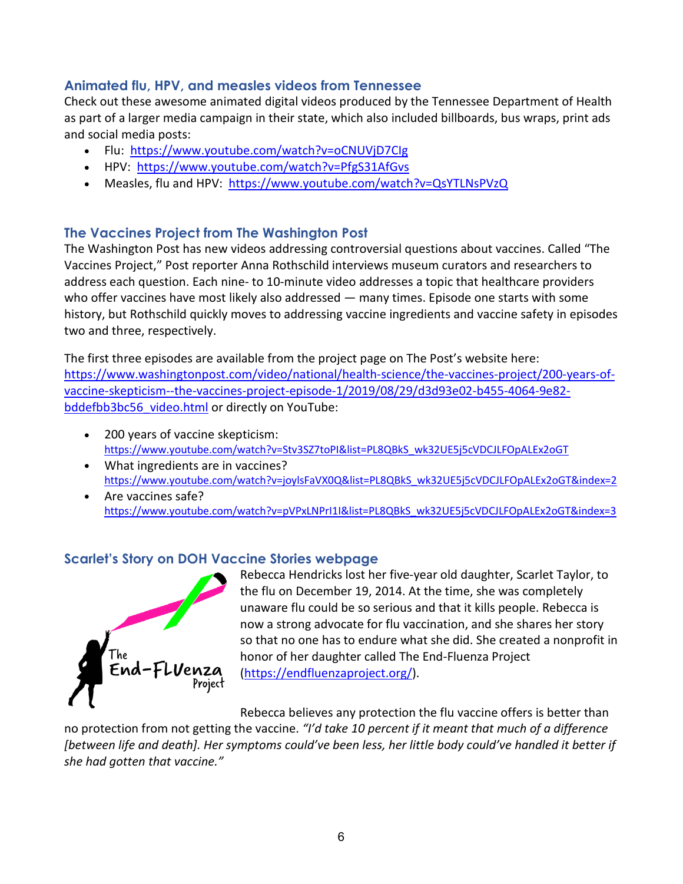## **Animated flu, HPV, and measles videos from Tennessee**

Check out these awesome animated digital videos produced by the Tennessee Department of Health as part of a larger media campaign in their state, which also included billboards, bus wraps, print ads and social media posts:

- Flu: <https://www.youtube.com/watch?v=oCNUVjD7CIg>
- HPV:<https://www.youtube.com/watch?v=PfgS31AfGvs>
- Measles, flu and HPV: <https://www.youtube.com/watch?v=QsYTLNsPVzQ>

## **The Vaccines Project from The Washington Post**

The Washington Post has new videos addressing controversial questions about vaccines. Called "The Vaccines Project," Post reporter Anna Rothschild interviews museum curators and researchers to address each question. Each nine- to 10-minute video addresses a topic that healthcare providers who offer vaccines have most likely also addressed — many times. Episode one starts with some history, but Rothschild quickly moves to addressing vaccine ingredients and vaccine safety in episodes two and three, respectively.

The first three episodes are available from the project page on The Post's website here: [https://www.washingtonpost.com/video/national/health-science/the-vaccines-project/200-years-of](https://www.washingtonpost.com/video/national/health-science/the-vaccines-project/200-years-of-vaccine-skepticism--the-vaccines-project-episode-1/2019/08/29/d3d93e02-b455-4064-9e82-bddefbb3bc56_video.html)[vaccine-skepticism--the-vaccines-project-episode-1/2019/08/29/d3d93e02-b455-4064-9e82](https://www.washingtonpost.com/video/national/health-science/the-vaccines-project/200-years-of-vaccine-skepticism--the-vaccines-project-episode-1/2019/08/29/d3d93e02-b455-4064-9e82-bddefbb3bc56_video.html) [bddefbb3bc56\\_video.html](https://www.washingtonpost.com/video/national/health-science/the-vaccines-project/200-years-of-vaccine-skepticism--the-vaccines-project-episode-1/2019/08/29/d3d93e02-b455-4064-9e82-bddefbb3bc56_video.html) or directly on YouTube:

- 200 years of vaccine skepticism: [https://www.youtube.com/watch?v=Stv3SZ7toPI&list=PL8QBkS\\_wk32UE5j5cVDCJLFOpALEx2oGT](https://www.youtube.com/watch?v=Stv3SZ7toPI&list=PL8QBkS_wk32UE5j5cVDCJLFOpALEx2oGT)
- What ingredients are in vaccines? [https://www.youtube.com/watch?v=joylsFaVX0Q&list=PL8QBkS\\_wk32UE5j5cVDCJLFOpALEx2oGT&index=2](https://www.youtube.com/watch?v=joylsFaVX0Q&list=PL8QBkS_wk32UE5j5cVDCJLFOpALEx2oGT&index=2)
- Are vaccines safe? [https://www.youtube.com/watch?v=pVPxLNPrI1I&list=PL8QBkS\\_wk32UE5j5cVDCJLFOpALEx2oGT&index=3](https://www.youtube.com/watch?v=pVPxLNPrI1I&list=PL8QBkS_wk32UE5j5cVDCJLFOpALEx2oGT&index=3)

### **Scarlet's Story on DOH Vaccine Stories webpage**



Rebecca Hendricks lost her five-year old daughter, Scarlet Taylor, to the flu on December 19, 2014. At the time, she was completely unaware flu could be so serious and that it kills people. Rebecca is now a strong advocate for flu vaccination, and she shares her story so that no one has to endure what she did. She created a nonprofit in honor of her daughter called The End-Fluenza Project [\(https://endfluenzaproject.org/\)](https://endfluenzaproject.org/).

Rebecca believes any protection the flu vaccine offers is better than

no protection from not getting the vaccine. *"I'd take 10 percent if it meant that much of a difference [between life and death]. Her symptoms could've been less, her little body could've handled it better if she had gotten that vaccine."*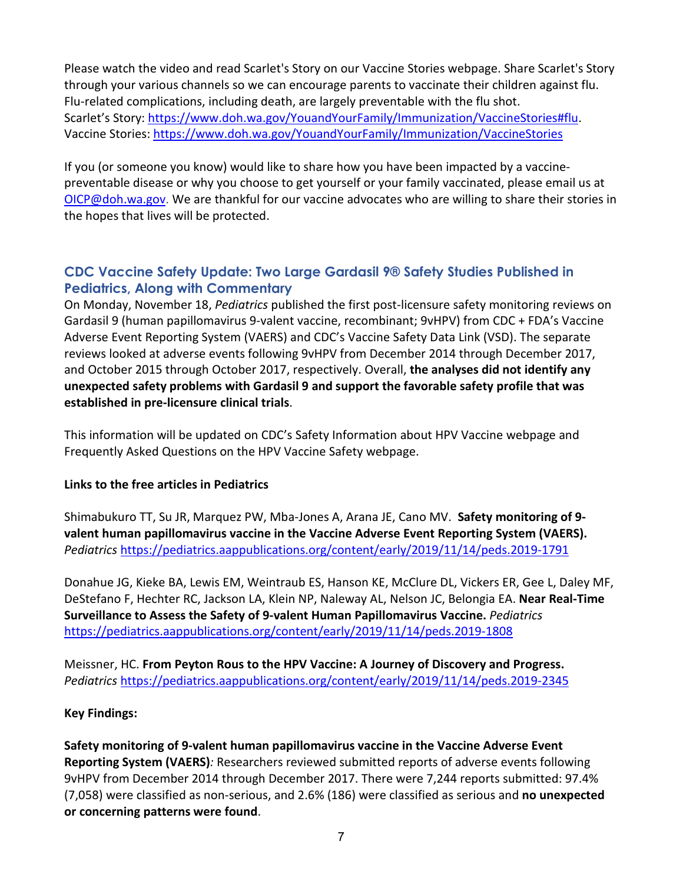Please watch the video and read Scarlet's Story on our Vaccine Stories webpage. Share Scarlet's Story through your various channels so we can encourage parents to vaccinate their children against flu. Flu-related complications, including death, are largely preventable with the flu shot. Scarlet's Story[: https://www.doh.wa.gov/YouandYourFamily/Immunization/VaccineStories#flu.](https://www.doh.wa.gov/YouandYourFamily/Immunization/VaccineStories#flu) Vaccine Stories:<https://www.doh.wa.gov/YouandYourFamily/Immunization/VaccineStories>

If you (or someone you know) would like to share how you have been impacted by a vaccinepreventable disease or why you choose to get yourself or your family vaccinated, please email us at [OICP@doh.wa.gov.](mailto:OICP@doh.wa.gov?subject=Vaccine%20story%20for%20Washington) We are thankful for our vaccine advocates who are willing to share their stories in the hopes that lives will be protected.

## **CDC Vaccine Safety Update: Two Large Gardasil 9® Safety Studies Published in Pediatrics, Along with Commentary**

On Monday, November 18, *Pediatrics* published the first post-licensure safety monitoring reviews on Gardasil 9 (human papillomavirus 9-valent vaccine, recombinant; 9vHPV) from CDC + FDA's Vaccine Adverse Event Reporting System (VAERS) and CDC's Vaccine Safety Data Link (VSD). The separate reviews looked at adverse events following 9vHPV from December 2014 through December 2017, and October 2015 through October 2017, respectively. Overall, **the analyses did not identify any unexpected safety problems with Gardasil 9 and support the favorable safety profile that was established in pre-licensure clinical trials**.

This information will be updated on CDC's Safety Information about HPV Vaccine webpage and Frequently Asked Questions on the HPV Vaccine Safety webpage.

### **Links to the free articles in Pediatrics**

Shimabukuro TT, Su JR, Marquez PW, Mba-Jones A, Arana JE, Cano MV. **Safety monitoring of 9 valent human papillomavirus vaccine in the Vaccine Adverse Event Reporting System (VAERS).** *Pediatrics* <https://pediatrics.aappublications.org/content/early/2019/11/14/peds.2019-1791>

Donahue JG, Kieke BA, Lewis EM, Weintraub ES, Hanson KE, McClure DL, Vickers ER, Gee L, Daley MF, DeStefano F, Hechter RC, Jackson LA, Klein NP, Naleway AL, Nelson JC, Belongia EA. **Near Real-Time Surveillance to Assess the Safety of 9-valent Human Papillomavirus Vaccine.** *Pediatrics*  <https://pediatrics.aappublications.org/content/early/2019/11/14/peds.2019-1808>

Meissner, HC. **From Peyton Rous to the HPV Vaccine: A Journey of Discovery and Progress.** *Pediatrics* <https://pediatrics.aappublications.org/content/early/2019/11/14/peds.2019-2345>

### **Key Findings:**

**Safety monitoring of 9-valent human papillomavirus vaccine in the Vaccine Adverse Event Reporting System (VAERS)***:* Researchers reviewed submitted reports of adverse events following 9vHPV from December 2014 through December 2017. There were 7,244 reports submitted: 97.4% (7,058) were classified as non-serious, and 2.6% (186) were classified as serious and **no unexpected or concerning patterns were found**.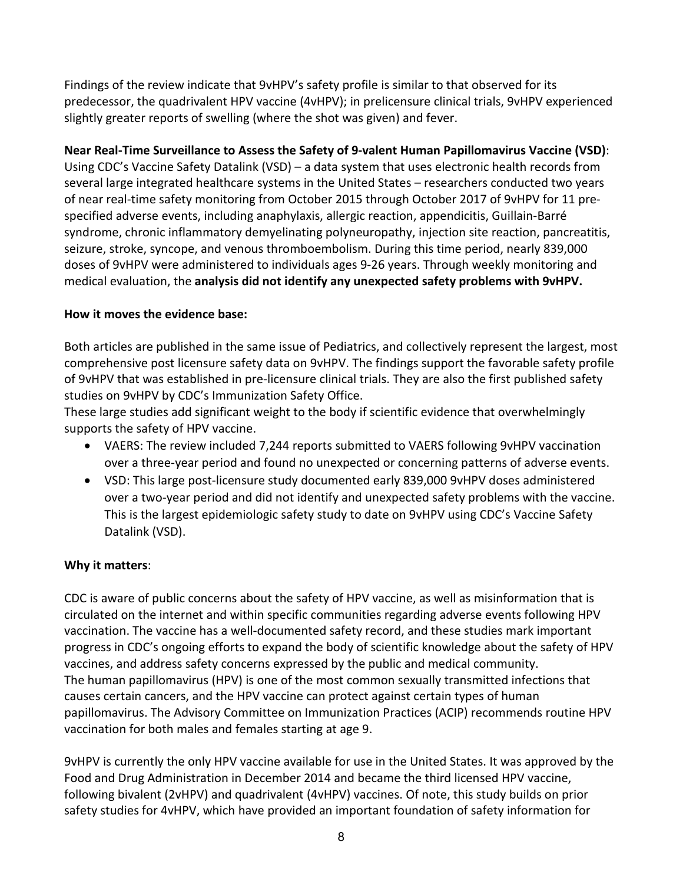Findings of the review indicate that 9vHPV's safety profile is similar to that observed for its predecessor, the quadrivalent HPV vaccine (4vHPV); in prelicensure clinical trials, 9vHPV experienced slightly greater reports of swelling (where the shot was given) and fever.

**Near Real-Time Surveillance to Assess the Safety of 9-valent Human Papillomavirus Vaccine (VSD)**: Using CDC's Vaccine Safety Datalink (VSD) – a data system that uses electronic health records from several large integrated healthcare systems in the United States – researchers conducted two years of near real-time safety monitoring from October 2015 through October 2017 of 9vHPV for 11 prespecified adverse events, including anaphylaxis, allergic reaction, appendicitis, Guillain-Barré syndrome, chronic inflammatory demyelinating polyneuropathy, injection site reaction, pancreatitis, seizure, stroke, syncope, and venous thromboembolism. During this time period, nearly 839,000 doses of 9vHPV were administered to individuals ages 9-26 years. Through weekly monitoring and medical evaluation, the **analysis did not identify any unexpected safety problems with 9vHPV.**

## **How it moves the evidence base:**

Both articles are published in the same issue of Pediatrics, and collectively represent the largest, most comprehensive post licensure safety data on 9vHPV. The findings support the favorable safety profile of 9vHPV that was established in pre-licensure clinical trials. They are also the first published safety studies on 9vHPV by CDC's Immunization Safety Office.

These large studies add significant weight to the body if scientific evidence that overwhelmingly supports the safety of HPV vaccine.

- VAERS: The review included 7,244 reports submitted to VAERS following 9vHPV vaccination over a three-year period and found no unexpected or concerning patterns of adverse events.
- VSD: This large post-licensure study documented early 839,000 9vHPV doses administered over a two-year period and did not identify and unexpected safety problems with the vaccine. This is the largest epidemiologic safety study to date on 9vHPV using CDC's Vaccine Safety Datalink (VSD).

## **Why it matters**:

CDC is aware of public concerns about the safety of HPV vaccine, as well as misinformation that is circulated on the internet and within specific communities regarding adverse events following HPV vaccination. The vaccine has a well-documented safety record, and these studies mark important progress in CDC's ongoing efforts to expand the body of scientific knowledge about the safety of HPV vaccines, and address safety concerns expressed by the public and medical community. The human papillomavirus (HPV) is one of the most common sexually transmitted infections that causes certain cancers, and the HPV vaccine can protect against certain types of human papillomavirus. The Advisory Committee on Immunization Practices (ACIP) recommends routine HPV vaccination for both males and females starting at age 9.

9vHPV is currently the only HPV vaccine available for use in the United States. It was approved by the Food and Drug Administration in December 2014 and became the third licensed HPV vaccine, following bivalent (2vHPV) and quadrivalent (4vHPV) vaccines. Of note, this study builds on prior safety studies for 4vHPV, which have provided an important foundation of safety information for